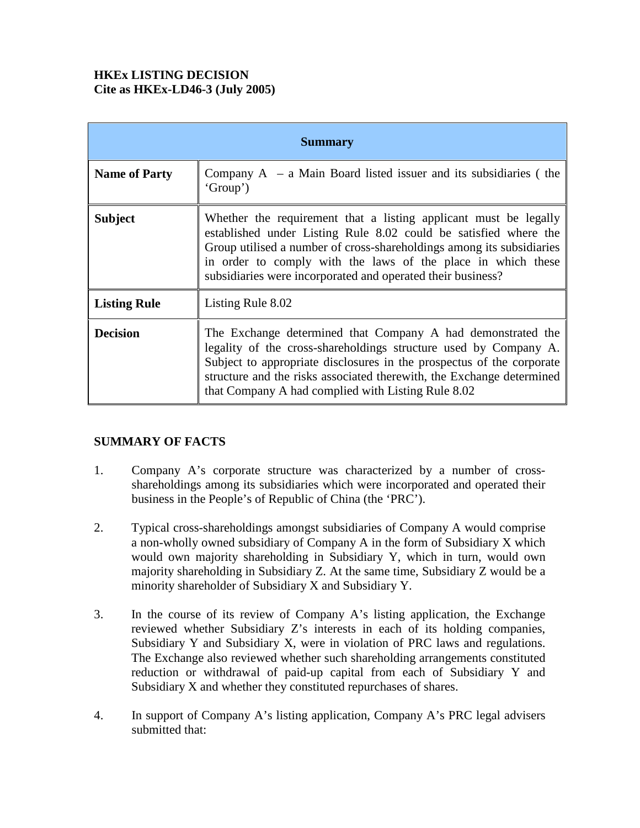# **HKEx LISTING DECISION Cite as HKEx-LD46-3 (July 2005)**

| <b>Summary</b>       |                                                                                                                                                                                                                                                                                                                                              |
|----------------------|----------------------------------------------------------------------------------------------------------------------------------------------------------------------------------------------------------------------------------------------------------------------------------------------------------------------------------------------|
| <b>Name of Party</b> | Company $A - a$ Main Board listed issuer and its subsidiaries (the<br>'Group')                                                                                                                                                                                                                                                               |
| <b>Subject</b>       | Whether the requirement that a listing applicant must be legally<br>established under Listing Rule 8.02 could be satisfied where the<br>Group utilised a number of cross-shareholdings among its subsidiaries<br>in order to comply with the laws of the place in which these<br>subsidiaries were incorporated and operated their business? |
| <b>Listing Rule</b>  | Listing Rule 8.02                                                                                                                                                                                                                                                                                                                            |
| <b>Decision</b>      | The Exchange determined that Company A had demonstrated the<br>legality of the cross-shareholdings structure used by Company A.<br>Subject to appropriate disclosures in the prospectus of the corporate<br>structure and the risks associated therewith, the Exchange determined<br>that Company A had complied with Listing Rule 8.02      |

## **SUMMARY OF FACTS**

- 1. Company A's corporate structure was characterized by a number of crossshareholdings among its subsidiaries which were incorporated and operated their business in the People's of Republic of China (the 'PRC').
- 2. Typical cross-shareholdings amongst subsidiaries of Company A would comprise a non-wholly owned subsidiary of Company A in the form of Subsidiary X which would own majority shareholding in Subsidiary Y, which in turn, would own majority shareholding in Subsidiary Z. At the same time, Subsidiary Z would be a minority shareholder of Subsidiary X and Subsidiary Y.
- 3. In the course of its review of Company A's listing application, the Exchange reviewed whether Subsidiary Z's interests in each of its holding companies, Subsidiary Y and Subsidiary X, were in violation of PRC laws and regulations. The Exchange also reviewed whether such shareholding arrangements constituted reduction or withdrawal of paid-up capital from each of Subsidiary Y and Subsidiary X and whether they constituted repurchases of shares.
- 4. In support of Company A's listing application, Company A's PRC legal advisers submitted that: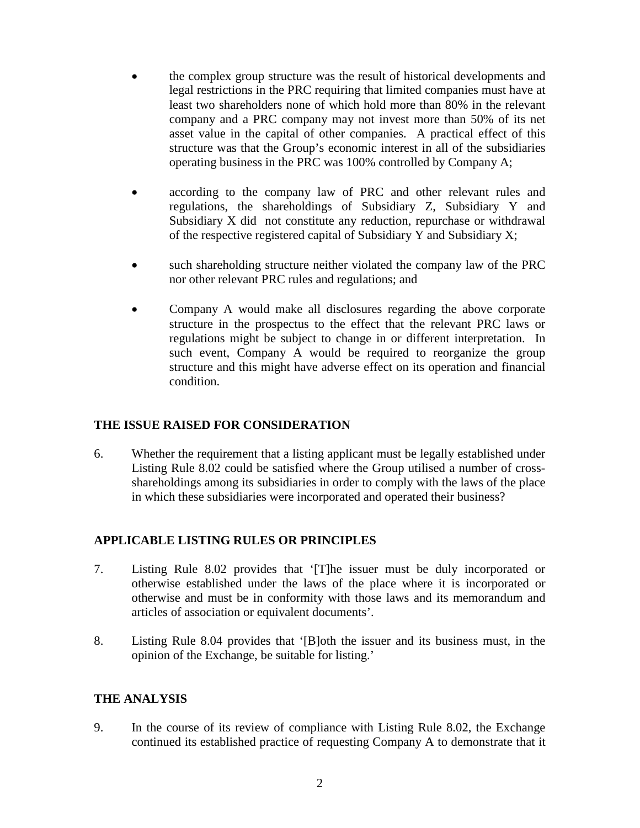- the complex group structure was the result of historical developments and legal restrictions in the PRC requiring that limited companies must have at least two shareholders none of which hold more than 80% in the relevant company and a PRC company may not invest more than 50% of its net asset value in the capital of other companies. A practical effect of this structure was that the Group's economic interest in all of the subsidiaries operating business in the PRC was 100% controlled by Company A;
- according to the company law of PRC and other relevant rules and regulations, the shareholdings of Subsidiary Z, Subsidiary Y and Subsidiary X did not constitute any reduction, repurchase or withdrawal of the respective registered capital of Subsidiary Y and Subsidiary X;
- such shareholding structure neither violated the company law of the PRC nor other relevant PRC rules and regulations; and
- Company A would make all disclosures regarding the above corporate structure in the prospectus to the effect that the relevant PRC laws or regulations might be subject to change in or different interpretation. In such event, Company A would be required to reorganize the group structure and this might have adverse effect on its operation and financial condition.

## **THE ISSUE RAISED FOR CONSIDERATION**

6. Whether the requirement that a listing applicant must be legally established under Listing Rule 8.02 could be satisfied where the Group utilised a number of crossshareholdings among its subsidiaries in order to comply with the laws of the place in which these subsidiaries were incorporated and operated their business?

## **APPLICABLE LISTING RULES OR PRINCIPLES**

- 7. Listing Rule 8.02 provides that '[T]he issuer must be duly incorporated or otherwise established under the laws of the place where it is incorporated or otherwise and must be in conformity with those laws and its memorandum and articles of association or equivalent documents'.
- 8. Listing Rule 8.04 provides that '[B]oth the issuer and its business must, in the opinion of the Exchange, be suitable for listing.'

## **THE ANALYSIS**

9. In the course of its review of compliance with Listing Rule 8.02, the Exchange continued its established practice of requesting Company A to demonstrate that it